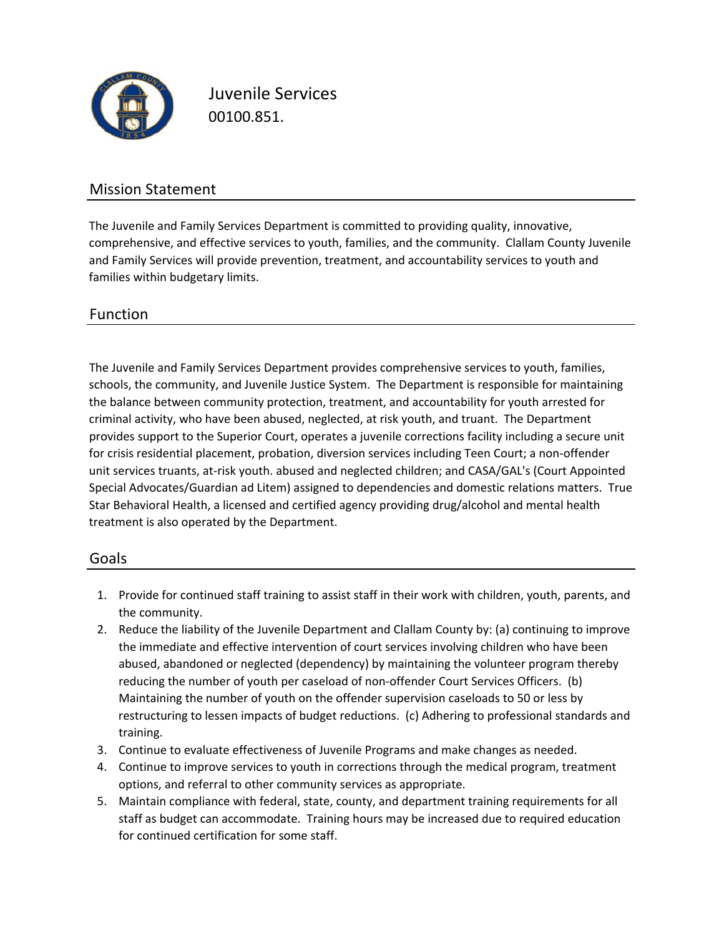

Juvenile Services 00100.851.

### Mission Statement

The Juvenile and Family Services Department is committed to providing quality, innovative, comprehensive, and effective services to youth, families, and the community. Clallam County Juvenile and Family Services will provide prevention, treatment, and accountability services to youth and families within budgetary limits.

### Function

The Juvenile and Family Services Department provides comprehensive services to youth, families, schools, the community, and Juvenile Justice System. The Department is responsible for maintaining the balance between community protection, treatment, and accountability for youth arrested for criminal activity, who have been abused, neglected, at risk youth, and truant. The Department provides support to the Superior Court, operates a juvenile corrections facility including a secure unit for crisis residential placement, probation, diversion services including Teen Court; a non‐offender unit services truants, at-risk youth. abused and neglected children; and CASA/GAL's (Court Appointed Special Advocates/Guardian ad Litem) assigned to dependencies and domestic relations matters. True Star Behavioral Health, a licensed and certified agency providing drug/alcohol and mental health treatment is also operated by the Department.

#### Goals

- 1. Provide for continued staff training to assist staff in their work with children, youth, parents, and the community.
- 2. Reduce the liability of the Juvenile Department and Clallam County by: (a) continuing to improve the immediate and effective intervention of court services involving children who have been abused, abandoned or neglected (dependency) by maintaining the volunteer program thereby reducing the number of youth per caseload of non‐offender Court Services Officers. (b) Maintaining the number of youth on the offender supervision caseloads to 50 or less by restructuring to lessen impacts of budget reductions. (c) Adhering to professional standards and training.
- 3. Continue to evaluate effectiveness of Juvenile Programs and make changes as needed.
- 4. Continue to improve services to youth in corrections through the medical program, treatment options, and referral to other community services as appropriate.
- 5. Maintain compliance with federal, state, county, and department training requirements for all staff as budget can accommodate. Training hours may be increased due to required education for continued certification for some staff.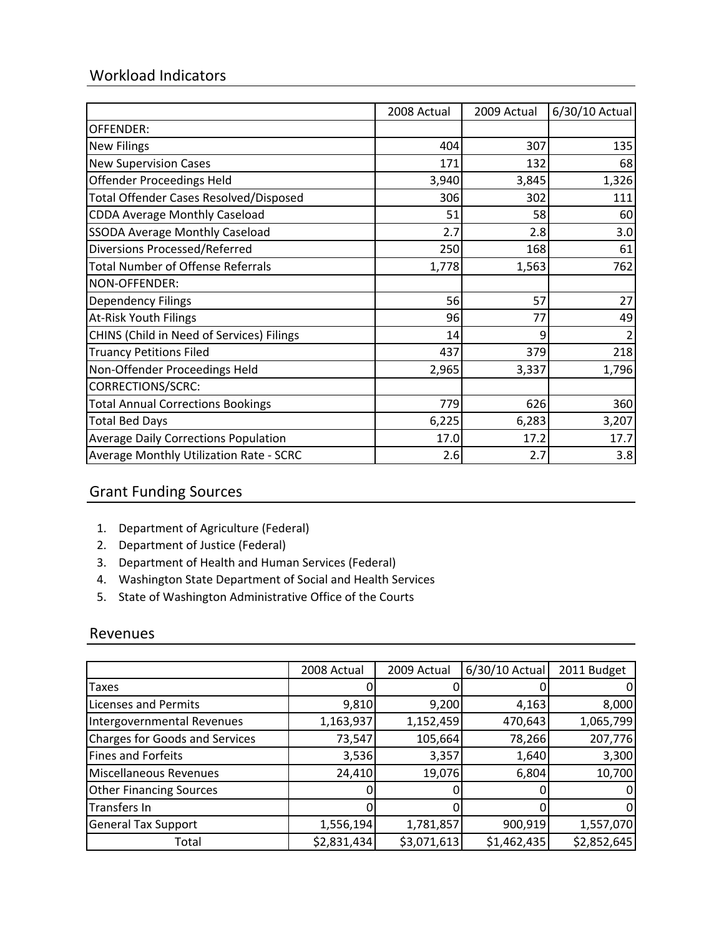## Workload Indicators

|                                               | 2008 Actual | 2009 Actual | 6/30/10 Actual |
|-----------------------------------------------|-------------|-------------|----------------|
| <b>OFFENDER:</b>                              |             |             |                |
| <b>New Filings</b>                            | 404         | 307         | 135            |
| <b>New Supervision Cases</b>                  | 171         | 132         | 68             |
| <b>Offender Proceedings Held</b>              | 3,940       | 3,845       | 1,326          |
| <b>Total Offender Cases Resolved/Disposed</b> | 306         | 302         | 111            |
| <b>CDDA Average Monthly Caseload</b>          | 51          | 58          | 60             |
| <b>SSODA Average Monthly Caseload</b>         | 2.7         | 2.8         | 3.0            |
| Diversions Processed/Referred                 | 250         | 168         | 61             |
| <b>Total Number of Offense Referrals</b>      | 1,778       | 1,563       | 762            |
| NON-OFFENDER:                                 |             |             |                |
| <b>Dependency Filings</b>                     | 56          | 57          | 27             |
| <b>At-Risk Youth Filings</b>                  | 96          | 77          | 49             |
| CHINS (Child in Need of Services) Filings     | 14          | ٩           |                |
| <b>Truancy Petitions Filed</b>                | 437         | 379         | 218            |
| Non-Offender Proceedings Held                 | 2,965       | 3,337       | 1,796          |
| <b>CORRECTIONS/SCRC:</b>                      |             |             |                |
| <b>Total Annual Corrections Bookings</b>      | 779         | 626         | 360            |
| <b>Total Bed Days</b>                         | 6,225       | 6,283       | 3,207          |
| <b>Average Daily Corrections Population</b>   | 17.0        | 17.2        | 17.7           |
| Average Monthly Utilization Rate - SCRC       | 2.6         | 2.7         | 3.8            |

## Grant Funding Sources

- 1. Department of Agriculture (Federal)
- 2. Department of Justice (Federal)
- 3. Department of Health and Human Services (Federal)
- 4. Washington State Department of Social and Health Services
- 5. State of Washington Administrative Office of the Courts

#### Revenues

|                                       | 2008 Actual | 2009 Actual | 6/30/10 Actual | 2011 Budget |
|---------------------------------------|-------------|-------------|----------------|-------------|
| Taxes                                 |             |             |                |             |
| <b>Licenses and Permits</b>           | 9,810       | 9,200       | 4,163          | 8,000       |
| Intergovernmental Revenues            | 1,163,937   | 1,152,459   | 470,643        | 1,065,799   |
| <b>Charges for Goods and Services</b> | 73,547      | 105,664     | 78,266         | 207,776     |
| <b>Fines and Forfeits</b>             | 3,536       | 3,357       | 1,640          | 3,300       |
| Miscellaneous Revenues                | 24,410      | 19,076      | 6,804          | 10,700      |
| <b>Other Financing Sources</b>        |             |             |                |             |
| Transfers In                          |             |             |                |             |
| <b>General Tax Support</b>            | 1,556,194   | 1,781,857   | 900,919        | 1,557,070   |
| Total                                 | \$2,831,434 | \$3,071,613 | \$1,462,435    | \$2,852,645 |